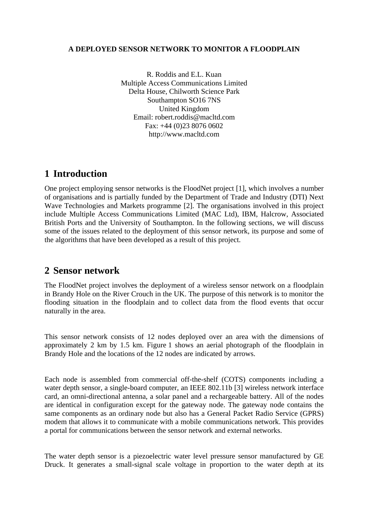#### **A DEPLOYED SENSOR NETWORK TO MONITOR A FLOODPLAIN**

R. Roddis and E.L. Kuan Multiple Access Communications Limited Delta House, Chilworth Science Park Southampton SO16 7NS United Kingdom Email: robert.roddis@macltd.com Fax: +44 (0)23 8076 0602 http://www.macltd.com

## **1 Introduction**

One project employing sensor networks is the FloodNet project [\[1\],](#page-7-0) which involves a number of organisations and is partially funded by the Department of Trade and Industry (DTI) Next Wave Technologies and Markets programme [\[2\].](#page-7-1) The organisations involved in this project include Multiple Access Communications Limited (MAC Ltd), IBM, Halcrow, Associated British Ports and the University of Southampton. In the following sections, we will discuss some of the issues related to the deployment of this sensor network, its purpose and some of the algorithms that have been developed as a result of this project.

# **2 Sensor network**

The FloodNet project involves the deployment of a wireless sensor network on a floodplain in Brandy Hole on the River Crouch in the UK. The purpose of this network is to monitor the flooding situation in the floodplain and to collect data from the flood events that occur naturally in the area.

This sensor network consists of 12 nodes deployed over an area with the dimensions of approximately 2 km by 1.5 km. [Figure 1](#page-1-0) shows an aerial photograph of the floodplain in Brandy Hole and the locations of the 12 nodes are indicated by arrows.

Each node is assembled from commercial off-the-shelf (COTS) components including a water depth sensor, a single-board computer, an IEEE 802.11b [\[3\]](#page-7-2) wireless network interface card, an omni-directional antenna, a solar panel and a rechargeable battery. All of the nodes are identical in configuration except for the gateway node. The gateway node contains the same components as an ordinary node but also has a General Packet Radio Service (GPRS) modem that allows it to communicate with a mobile communications network. This provides a portal for communications between the sensor network and external networks.

The water depth sensor is a piezoelectric water level pressure sensor manufactured by GE Druck. It generates a small-signal scale voltage in proportion to the water depth at its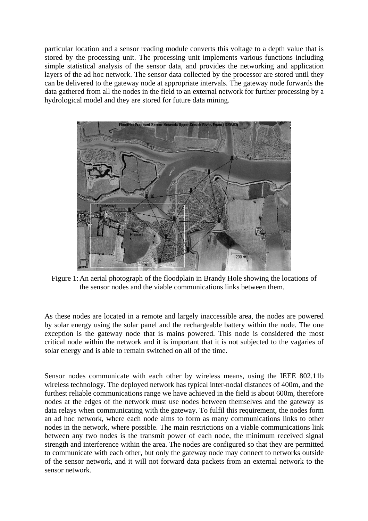particular location and a sensor reading module converts this voltage to a depth value that is stored by the processing unit. The processing unit implements various functions including simple statistical analysis of the sensor data, and provides the networking and application layers of the ad hoc network. The sensor data collected by the processor are stored until they can be delivered to the gateway node at appropriate intervals. The gateway node forwards the data gathered from all the nodes in the field to an external network for further processing by a hydrological model and they are stored for future data mining.

<span id="page-1-0"></span>

Figure 1: An aerial photograph of the floodplain in Brandy Hole showing the locations of the sensor nodes and the viable communications links between them.

As these nodes are located in a remote and largely inaccessible area, the nodes are powered by solar energy using the solar panel and the rechargeable battery within the node. The one exception is the gateway node that is mains powered. This node is considered the most critical node within the network and it is important that it is not subjected to the vagaries of solar energy and is able to remain switched on all of the time.

Sensor nodes communicate with each other by wireless means, using the IEEE 802.11b wireless technology. The deployed network has typical inter-nodal distances of 400m, and the furthest reliable communications range we have achieved in the field is about 600m, therefore nodes at the edges of the network must use nodes between themselves and the gateway as data relays when communicating with the gateway. To fulfil this requirement, the nodes form an ad hoc network, where each node aims to form as many communications links to other nodes in the network, where possible. The main restrictions on a viable communications link between any two nodes is the transmit power of each node, the minimum received signal strength and interference within the area. The nodes are configured so that they are permitted to communicate with each other, but only the gateway node may connect to networks outside of the sensor network, and it will not forward data packets from an external network to the sensor network.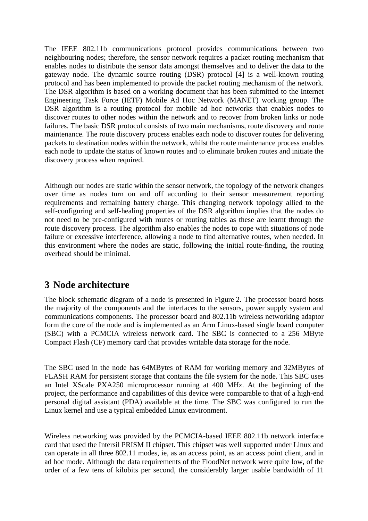The IEEE 802.11b communications protocol provides communications between two neighbouring nodes; therefore, the sensor network requires a packet routing mechanism that enables nodes to distribute the sensor data amongst themselves and to deliver the data to the gateway node. The dynamic source routing (DSR) protocol [\[4\]](#page-7-3) is a well-known routing protocol and has been implemented to provide the packet routing mechanism of the network. The DSR algorithm is based on a working document that has been submitted to the Internet Engineering Task Force (IETF) Mobile Ad Hoc Network (MANET) working group. The DSR algorithm is a routing protocol for mobile ad hoc networks that enables nodes to discover routes to other nodes within the network and to recover from broken links or node failures. The basic DSR protocol consists of two main mechanisms, route discovery and route maintenance. The route discovery process enables each node to discover routes for delivering packets to destination nodes within the network, whilst the route maintenance process enables each node to update the status of known routes and to eliminate broken routes and initiate the discovery process when required.

Although our nodes are static within the sensor network, the topology of the network changes over time as nodes turn on and off according to their sensor measurement reporting requirements and remaining battery charge. This changing network topology allied to the self-configuring and self-healing properties of the DSR algorithm implies that the nodes do not need to be pre-configured with routes or routing tables as these are learnt through the route discovery process. The algorithm also enables the nodes to cope with situations of node failure or excessive interference, allowing a node to find alternative routes, when needed. In this environment where the nodes are static, following the initial route-finding, the routing overhead should be minimal.

# **3 Node architecture**

The block schematic diagram of a node is presented in [Figure 2.](#page-3-0) The processor board hosts the majority of the components and the interfaces to the sensors, power supply system and communications components. The processor board and 802.11b wireless networking adaptor form the core of the node and is implemented as an Arm Linux-based single board computer (SBC) with a PCMCIA wireless network card. The SBC is connected to a 256 MByte Compact Flash (CF) memory card that provides writable data storage for the node.

The SBC used in the node has 64MBytes of RAM for working memory and 32MBytes of FLASH RAM for persistent storage that contains the file system for the node. This SBC uses an Intel XScale PXA250 microprocessor running at 400 MHz. At the beginning of the project, the performance and capabilities of this device were comparable to that of a high-end personal digital assistant (PDA) available at the time. The SBC was configured to run the Linux kernel and use a typical embedded Linux environment.

Wireless networking was provided by the PCMCIA-based IEEE 802.11b network interface card that used the Intersil PRISM II chipset. This chipset was well supported under Linux and can operate in all three 802.11 modes, ie, as an access point, as an access point client, and in ad hoc mode. Although the data requirements of the FloodNet network were quite low, of the order of a few tens of kilobits per second, the considerably larger usable bandwidth of 11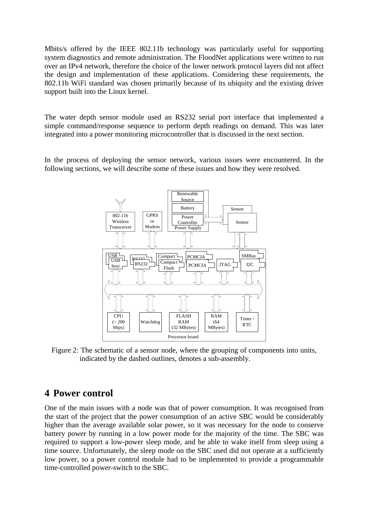Mbits/s offered by the IEEE 802.11b technology was particularly useful for supporting system diagnostics and remote administration. The FloodNet applications were written to run over an IPv4 network, therefore the choice of the lower network protocol layers did not affect the design and implementation of these applications. Considering these requirements, the 802.11b WiFi standard was chosen primarily because of its ubiquity and the existing driver support built into the Linux kernel.

The water depth sensor module used an RS232 serial port interface that implemented a simple command/response sequence to perform depth readings on demand. This was later integrated into a power monitoring microcontroller that is discussed in the next section.

<span id="page-3-0"></span>In the process of deploying the sensor network, various issues were encountered. In the following sections, we will describe some of these issues and how they were resolved.



Figure 2: The schematic of a sensor node, where the grouping of components into units, indicated by the dashed outlines, denotes a sub-assembly.

## **4 Power control**

One of the main issues with a node was that of power consumption. It was recognised from the start of the project that the power consumption of an active SBC would be considerably higher than the average available solar power, so it was necessary for the node to conserve battery power by running in a low power mode for the majority of the time. The SBC was required to support a low-power sleep mode, and be able to wake itself from sleep using a time source. Unfortunately, the sleep mode on the SBC used did not operate at a sufficiently low power, so a power control module had to be implemented to provide a programmable time-controlled power-switch to the SBC.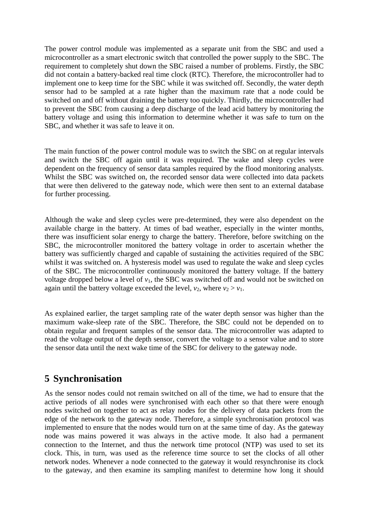The power control module was implemented as a separate unit from the SBC and used a microcontroller as a smart electronic switch that controlled the power supply to the SBC. The requirement to completely shut down the SBC raised a number of problems. Firstly, the SBC did not contain a battery-backed real time clock (RTC). Therefore, the microcontroller had to implement one to keep time for the SBC while it was switched off. Secondly, the water depth sensor had to be sampled at a rate higher than the maximum rate that a node could be switched on and off without draining the battery too quickly. Thirdly, the microcontroller had to prevent the SBC from causing a deep discharge of the lead acid battery by monitoring the battery voltage and using this information to determine whether it was safe to turn on the SBC, and whether it was safe to leave it on.

The main function of the power control module was to switch the SBC on at regular intervals and switch the SBC off again until it was required. The wake and sleep cycles were dependent on the frequency of sensor data samples required by the flood monitoring analysts. Whilst the SBC was switched on, the recorded sensor data were collected into data packets that were then delivered to the gateway node, which were then sent to an external database for further processing.

Although the wake and sleep cycles were pre-determined, they were also dependent on the available charge in the battery. At times of bad weather, especially in the winter months, there was insufficient solar energy to charge the battery. Therefore, before switching on the SBC, the microcontroller monitored the battery voltage in order to ascertain whether the battery was sufficiently charged and capable of sustaining the activities required of the SBC whilst it was switched on. A hysteresis model was used to regulate the wake and sleep cycles of the SBC. The microcontroller continuously monitored the battery voltage. If the battery voltage dropped below a level of  $v_1$ , the SBC was switched off and would not be switched on again until the battery voltage exceeded the level,  $v_2$ , where  $v_2 > v_1$ .

As explained earlier, the target sampling rate of the water depth sensor was higher than the maximum wake-sleep rate of the SBC. Therefore, the SBC could not be depended on to obtain regular and frequent samples of the sensor data. The microcontroller was adapted to read the voltage output of the depth sensor, convert the voltage to a sensor value and to store the sensor data until the next wake time of the SBC for delivery to the gateway node.

# **5 Synchronisation**

As the sensor nodes could not remain switched on all of the time, we had to ensure that the active periods of all nodes were synchronised with each other so that there were enough nodes switched on together to act as relay nodes for the delivery of data packets from the edge of the network to the gateway node. Therefore, a simple synchronisation protocol was implemented to ensure that the nodes would turn on at the same time of day. As the gateway node was mains powered it was always in the active mode. It also had a permanent connection to the Internet, and thus the network time protocol (NTP) was used to set its clock. This, in turn, was used as the reference time source to set the clocks of all other network nodes. Whenever a node connected to the gateway it would resynchronise its clock to the gateway, and then examine its sampling manifest to determine how long it should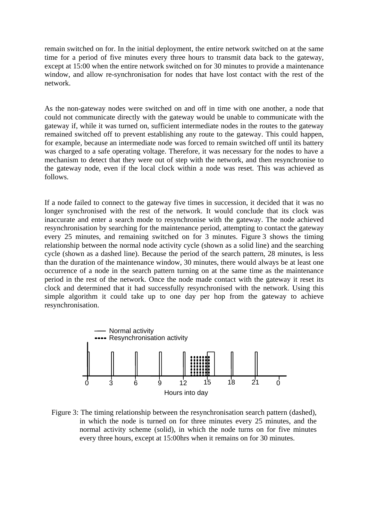remain switched on for. In the initial deployment, the entire network switched on at the same time for a period of five minutes every three hours to transmit data back to the gateway, except at 15:00 when the entire network switched on for 30 minutes to provide a maintenance window, and allow re-synchronisation for nodes that have lost contact with the rest of the network.

As the non-gateway nodes were switched on and off in time with one another, a node that could not communicate directly with the gateway would be unable to communicate with the gateway if, while it was turned on, sufficient intermediate nodes in the routes to the gateway remained switched off to prevent establishing any route to the gateway. This could happen, for example, because an intermediate node was forced to remain switched off until its battery was charged to a safe operating voltage. Therefore, it was necessary for the nodes to have a mechanism to detect that they were out of step with the network, and then resynchronise to the gateway node, even if the local clock within a node was reset. This was achieved as follows.

If a node failed to connect to the gateway five times in succession, it decided that it was no longer synchronised with the rest of the network. It would conclude that its clock was inaccurate and enter a search mode to resynchronise with the gateway. The node achieved resynchronisation by searching for the maintenance period, attempting to contact the gateway every 25 minutes, and remaining switched on for 3 minutes. [Figure 3](#page-5-0) shows the timing relationship between the normal node activity cycle (shown as a solid line) and the searching cycle (shown as a dashed line). Because the period of the search pattern, 28 minutes, is less than the duration of the maintenance window, 30 minutes, there would always be at least one occurrence of a node in the search pattern turning on at the same time as the maintenance period in the rest of the network. Once the node made contact with the gateway it reset its clock and determined that it had successfully resynchronised with the network. Using this simple algorithm it could take up to one day per hop from the gateway to achieve resynchronisation.



<span id="page-5-0"></span>Figure 3: The timing relationship between the resynchronisation search pattern (dashed), in which the node is turned on for three minutes every 25 minutes, and the normal activity scheme (solid), in which the node turns on for five minutes every three hours, except at 15:00hrs when it remains on for 30 minutes.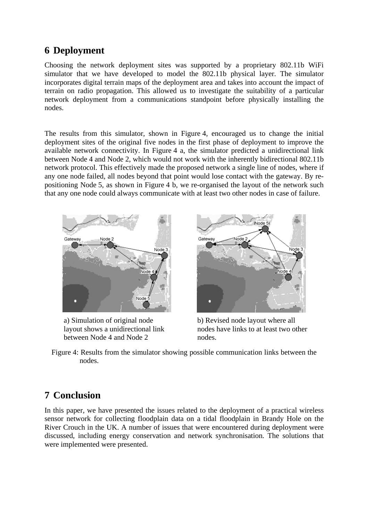## **6 Deployment**

Choosing the network deployment sites was supported by a proprietary 802.11b WiFi simulator that we have developed to model the 802.11b physical layer. The simulator incorporates digital terrain maps of the deployment area and takes into account the impact of terrain on radio propagation. This allowed us to investigate the suitability of a particular network deployment from a communications standpoint before physically installing the nodes.

The results from this simulator, shown in [Figure 4,](#page-6-0) encouraged us to change the initial deployment sites of the original five nodes in the first phase of deployment to improve the available network connectivity. In [Figure 4](#page-6-0) a, the simulator predicted a unidirectional link between Node 4 and Node 2, which would not work with the inherently bidirectional 802.11b network protocol. This effectively made the proposed network a single line of nodes, where if any one node failed, all nodes beyond that point would lose contact with the gateway. By repositioning Node 5, as shown in [Figure 4](#page-6-0) b, we re-organised the layout of the network such that any one node could always communicate with at least two other nodes in case of failure.



. a) Simulation of original node layout shows a unidirectional link between Node 4 and Node 2



b) Revised node layout where all nodes have links to at least two other nodes.

<span id="page-6-0"></span>Figure 4: Results from the simulator showing possible communication links between the nodes.

# **7 Conclusion**

In this paper, we have presented the issues related to the deployment of a practical wireless sensor network for collecting floodplain data on a tidal floodplain in Brandy Hole on the River Crouch in the UK. A number of issues that were encountered during deployment were discussed, including energy conservation and network synchronisation. The solutions that were implemented were presented.